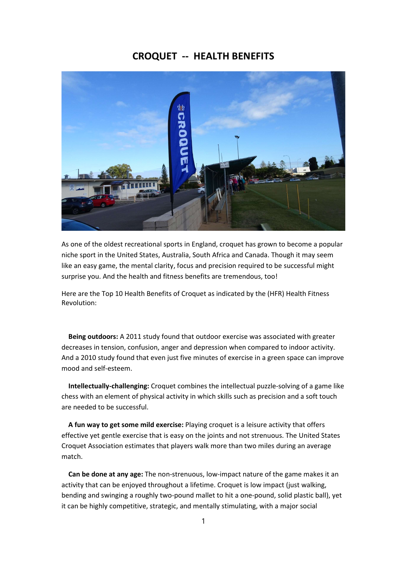## CROQUET -- HEALTH BENEFITS



As one of the oldest recreational sports in England, croquet has grown to become a popular niche sport in the United States, Australia, South Africa and Canada. Though it may seem like an easy game, the mental clarity, focus and precision required to be successful might surprise you. And the health and fitness benefits are tremendous, too!

Here are the Top 10 Health Benefits of Croquet as indicated by the (HFR) Health Fitness Revolution:

 Being outdoors: A 2011 study found that outdoor exercise was associated with greater decreases in tension, confusion, anger and depression when compared to indoor activity. And a 2010 study found that even just five minutes of exercise in a green space can improve mood and self-esteem.

 Intellectually-challenging: Croquet combines the intellectual puzzle-solving of a game like chess with an element of physical activity in which skills such as precision and a soft touch are needed to be successful.

 A fun way to get some mild exercise: Playing croquet is a leisure activity that offers effective yet gentle exercise that is easy on the joints and not strenuous. The United States Croquet Association estimates that players walk more than two miles during an average match.

 Can be done at any age: The non-strenuous, low-impact nature of the game makes it an activity that can be enjoyed throughout a lifetime. Croquet is low impact (just walking, bending and swinging a roughly two-pound mallet to hit a one-pound, solid plastic ball), yet it can be highly competitive, strategic, and mentally stimulating, with a major social